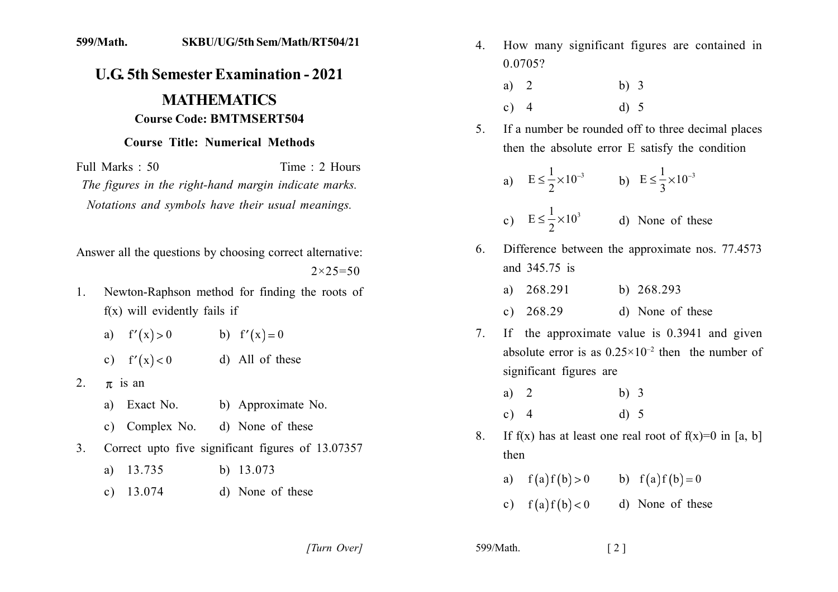## 599/Math. SKBU/UG/5th Sem/Math/RT504/21

## **U.G. 5th Semester Examination - 2021 MATHEMATICS Course Code: BMTMSERT504**

## **Course Title: Numerical Methods**

Time  $\cdot$  2 Hours Full Marks  $\cdot$  50 The figures in the right-hand margin indicate marks. Notations and symbols have their usual meanings.

Answer all the questions by choosing correct alternative:  $2 \times 25 = 50$ 

- Newton-Raphson method for finding the roots of  $1$  $f(x)$  will evidently fails if
	- a)  $f'(x) > 0$  b)  $f'(x) = 0$ d) All of these c)  $f'(x) < 0$
- $2.$  $\pi$  is an
	- a) Exact No. b) Approximate No.
	- c) Complex No. d) None of these
- Correct upto five significant figures of 13.07357  $3<sub>1</sub>$ 
	- a)  $13.735$ b)  $13.073$
	- d) None of these c)  $13.074$

How many significant figures are contained in  $4_{\ldots}$ 0.0705?

| a) $2$ | b) $3$ |
|--------|--------|
| c) $4$ | d) 5   |

If a number be rounded off to three decimal places 5. then the absolute error E satisfy the condition

a) 
$$
E \le \frac{1}{2} \times 10^{-3}
$$
 b)  $E \le \frac{1}{3} \times 10^{-3}$ 

- c)  $E \le \frac{1}{2} \times 10^3$ d) None of these
- Difference between the approximate nos. 77.4573 6 and 345.75 is

| a) 268.291  | b) $268.293$ |                  |
|-------------|--------------|------------------|
| c) $268.29$ |              | d) None of these |

- If the approximate value is  $0.3941$  and given  $7_{\scriptscriptstyle{\ddots}}$ absolute error is as  $0.25 \times 10^{-2}$  then the number of significant figures are
	- $b)$  3 a)  $2$  $c) 4$  $d) 5$
- If f(x) has at least one real root of  $f(x)=0$  in [a, b] 8. then
	- b)  $f(a)f(b) = 0$ a)  $f(a)f(b) > 0$
	- c)  $f(a)f(b) < 0$ d) None of these

[Turn Over]

599/Math.  $\lceil 2 \rceil$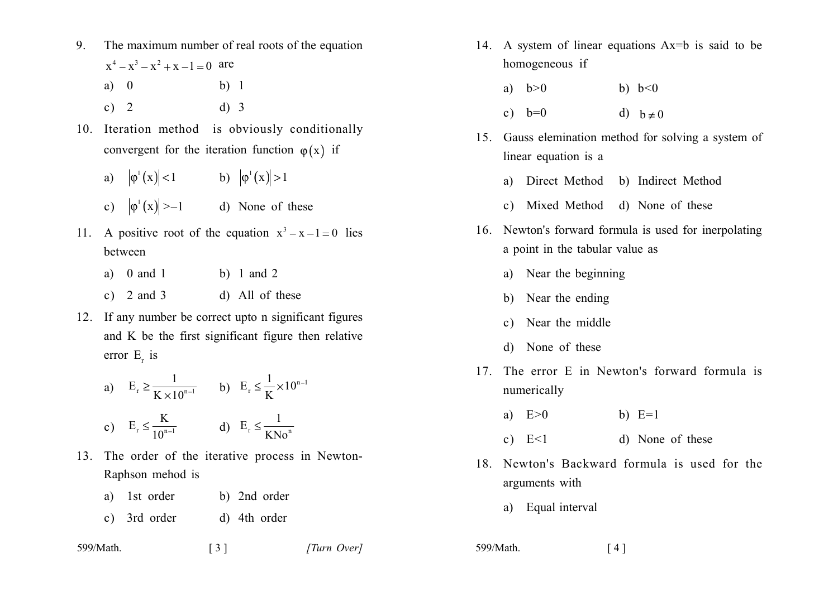- $9<sub>1</sub>$ The maximum number of real roots of the equation  $x^4 - x^3 - x^2 + x - 1 = 0$  are  $a) 0$  $h)$  1
	- $d)$  3 c)  $2$
- 10. Iteration method is obviously conditionally convergent for the iteration function  $\varphi(x)$  if
	- a)  $|\varphi'(x)| < 1$  b)  $|\varphi'(x)| > 1$
	- c)  $|\varphi^1(x)| \ge -1$  d) None of these
- 11. A positive root of the equation  $x^3 x 1 = 0$  lies between
	- a)  $0$  and  $1$ b) 1 and 2
	- d) All of these c)  $2$  and  $3$
- 12. If any number be correct upto n significant figures and K be the first significant figure then relative error  $E_r$  is

a) 
$$
E_r \ge \frac{1}{K \times 10^{n-1}}
$$
 b)  $E_r \le \frac{1}{K} \times 10^{n-1}$   
c)  $E_r \le \frac{K}{10^{n-1}}$  d)  $E_r \le \frac{1}{KNo^n}$ 

- 13. The order of the iterative process in Newton-Raphson mehod is
	- a) 1st order b) 2nd order
	- c) 3rd order d) 4th order

| 599/Math. | $\lceil 3 \rceil$ | [Turn Over] |
|-----------|-------------------|-------------|
|-----------|-------------------|-------------|

- 14. A system of linear equations Ax=b is said to be homogeneous if
	- a)  $h>0$ b)  $b < 0$
	- c)  $b=0$ d)  $b \neq 0$
- 15. Gauss elemination method for solving a system of linear equation is a
	- a) Direct Method b) Indirect Method
	- c) Mixed Method d) None of these
- 16. Newton's forward formula is used for inerpolating a point in the tabular value as
	- a) Near the beginning
	- b) Near the ending
	- c) Near the middle
	- d) None of these
- 17 The error E in Newton's forward formula is numerically
	- a)  $E>0$ b)  $E=1$
	- d) None of these c)  $E<1$
- 18 Newton's Backward formula is used for the arguments with
	- a) Equal interval
- 599/Math.  $\lceil 4 \rceil$